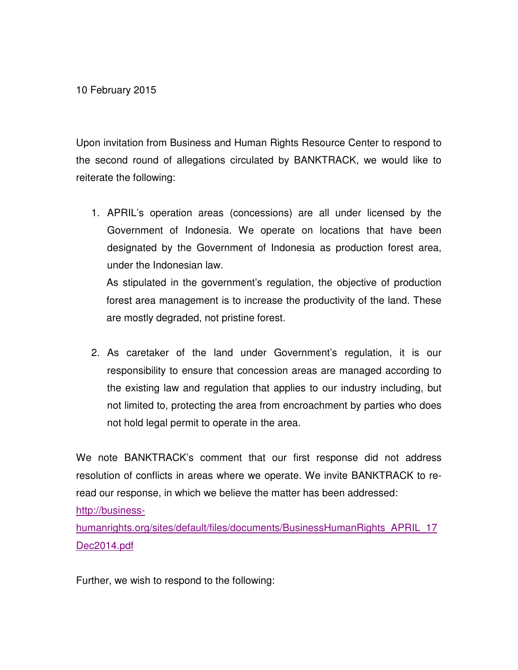10 February 2015

Upon invitation from Business and Human Rights Resource Center to respond to the second round of allegations circulated by BANKTRACK, we would like to reiterate the following:

1. APRIL's operation areas (concessions) are all under licensed by the Government of Indonesia. We operate on locations that have been designated by the Government of Indonesia as production forest area, under the Indonesian law.

As stipulated in the government's regulation, the objective of production forest area management is to increase the productivity of the land. These are mostly degraded, not pristine forest.

2. As caretaker of the land under Government's regulation, it is our responsibility to ensure that concession areas are managed according to the existing law and regulation that applies to our industry including, but not limited to, protecting the area from encroachment by parties who does not hold legal permit to operate in the area.

We note BANKTRACK's comment that our first response did not address resolution of conflicts in areas where we operate. We invite BANKTRACK to reread our response, in which we believe the matter has been addressed:

http://business-

humanrights.org/sites/default/files/documents/BusinessHumanRights\_APRIL\_17 Dec2014.pdf

Further, we wish to respond to the following: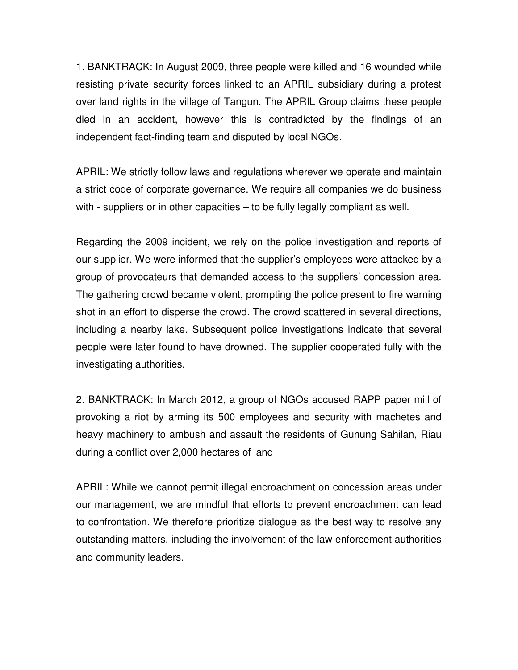1. BANKTRACK: In August 2009, three people were killed and 16 wounded while resisting private security forces linked to an APRIL subsidiary during a protest over land rights in the village of Tangun. The APRIL Group claims these people died in an accident, however this is contradicted by the findings of an independent fact-finding team and disputed by local NGOs.

APRIL: We strictly follow laws and regulations wherever we operate and maintain a strict code of corporate governance. We require all companies we do business with - suppliers or in other capacities – to be fully legally compliant as well.

Regarding the 2009 incident, we rely on the police investigation and reports of our supplier. We were informed that the supplier's employees were attacked by a group of provocateurs that demanded access to the suppliers' concession area. The gathering crowd became violent, prompting the police present to fire warning shot in an effort to disperse the crowd. The crowd scattered in several directions, including a nearby lake. Subsequent police investigations indicate that several people were later found to have drowned. The supplier cooperated fully with the investigating authorities.

2. BANKTRACK: In March 2012, a group of NGOs accused RAPP paper mill of provoking a riot by arming its 500 employees and security with machetes and heavy machinery to ambush and assault the residents of Gunung Sahilan, Riau during a conflict over 2,000 hectares of land

APRIL: While we cannot permit illegal encroachment on concession areas under our management, we are mindful that efforts to prevent encroachment can lead to confrontation. We therefore prioritize dialogue as the best way to resolve any outstanding matters, including the involvement of the law enforcement authorities and community leaders.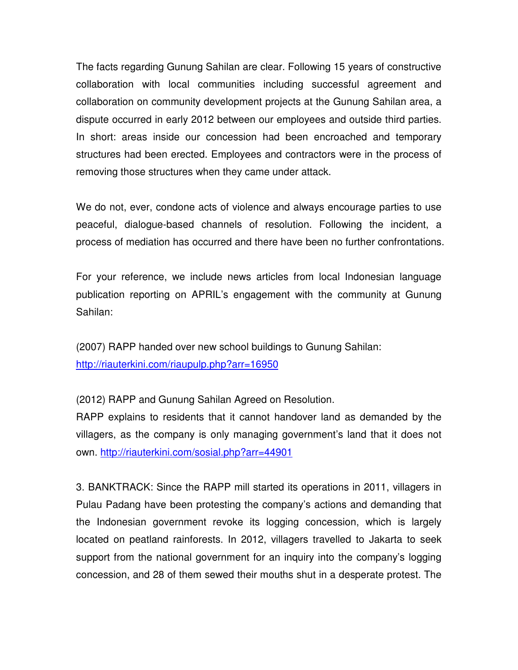The facts regarding Gunung Sahilan are clear. Following 15 years of constructive collaboration with local communities including successful agreement and collaboration on community development projects at the Gunung Sahilan area, a dispute occurred in early 2012 between our employees and outside third parties. In short: areas inside our concession had been encroached and temporary structures had been erected. Employees and contractors were in the process of removing those structures when they came under attack.

We do not, ever, condone acts of violence and always encourage parties to use peaceful, dialogue-based channels of resolution. Following the incident, a process of mediation has occurred and there have been no further confrontations.

For your reference, we include news articles from local Indonesian language publication reporting on APRIL's engagement with the community at Gunung Sahilan:

(2007) RAPP handed over new school buildings to Gunung Sahilan: http://riauterkini.com/riaupulp.php?arr=16950

(2012) RAPP and Gunung Sahilan Agreed on Resolution.

RAPP explains to residents that it cannot handover land as demanded by the villagers, as the company is only managing government's land that it does not own. http://riauterkini.com/sosial.php?arr=44901

3. BANKTRACK: Since the RAPP mill started its operations in 2011, villagers in Pulau Padang have been protesting the company's actions and demanding that the Indonesian government revoke its logging concession, which is largely located on peatland rainforests. In 2012, villagers travelled to Jakarta to seek support from the national government for an inquiry into the company's logging concession, and 28 of them sewed their mouths shut in a desperate protest. The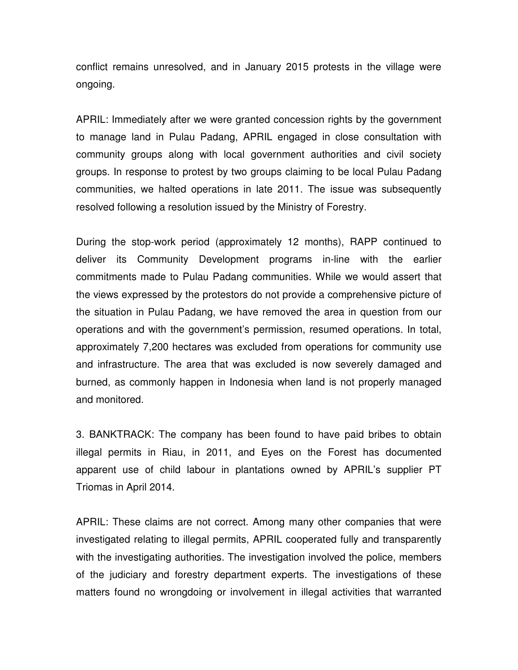conflict remains unresolved, and in January 2015 protests in the village were ongoing.

APRIL: Immediately after we were granted concession rights by the government to manage land in Pulau Padang, APRIL engaged in close consultation with community groups along with local government authorities and civil society groups. In response to protest by two groups claiming to be local Pulau Padang communities, we halted operations in late 2011. The issue was subsequently resolved following a resolution issued by the Ministry of Forestry.

During the stop-work period (approximately 12 months), RAPP continued to deliver its Community Development programs in-line with the earlier commitments made to Pulau Padang communities. While we would assert that the views expressed by the protestors do not provide a comprehensive picture of the situation in Pulau Padang, we have removed the area in question from our operations and with the government's permission, resumed operations. In total, approximately 7,200 hectares was excluded from operations for community use and infrastructure. The area that was excluded is now severely damaged and burned, as commonly happen in Indonesia when land is not properly managed and monitored.

3. BANKTRACK: The company has been found to have paid bribes to obtain illegal permits in Riau, in 2011, and Eyes on the Forest has documented apparent use of child labour in plantations owned by APRIL's supplier PT Triomas in April 2014.

APRIL: These claims are not correct. Among many other companies that were investigated relating to illegal permits, APRIL cooperated fully and transparently with the investigating authorities. The investigation involved the police, members of the judiciary and forestry department experts. The investigations of these matters found no wrongdoing or involvement in illegal activities that warranted